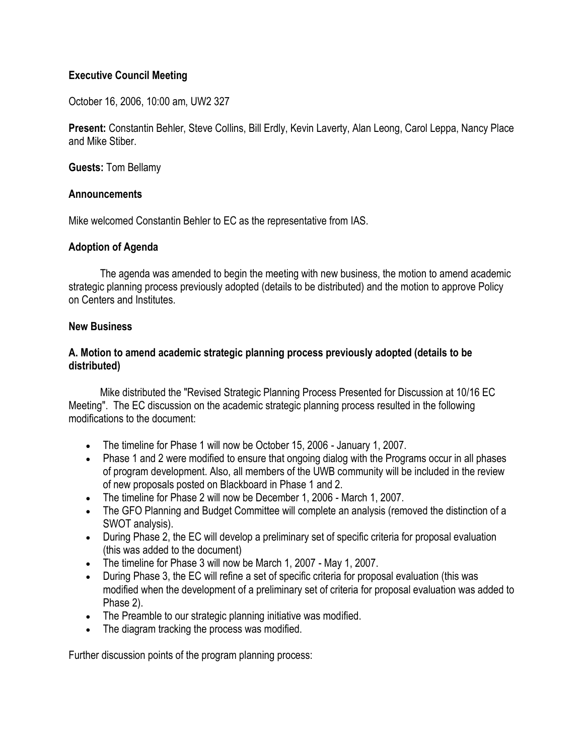## **Executive Council Meeting**

October 16, 2006, 10:00 am, UW2 327

**Present:** Constantin Behler, Steve Collins, Bill Erdly, Kevin Laverty, Alan Leong, Carol Leppa, Nancy Place and Mike Stiber.

**Guests:** Tom Bellamy

#### **Announcements**

Mike welcomed Constantin Behler to EC as the representative from IAS.

## **Adoption of Agenda**

 The agenda was amended to begin the meeting with new business, the motion to amend academic strategic planning process previously adopted (details to be distributed) and the motion to approve Policy on Centers and Institutes.

### **New Business**

## **A. Motion to amend academic strategic planning process previously adopted (details to be distributed)**

 Mike distributed the "Revised Strategic Planning Process Presented for Discussion at 10/16 EC Meeting". The EC discussion on the academic strategic planning process resulted in the following modifications to the document:

- The timeline for Phase 1 will now be October 15, 2006 January 1, 2007.
- Phase 1 and 2 were modified to ensure that ongoing dialog with the Programs occur in all phases of program development. Also, all members of the UWB community will be included in the review of new proposals posted on Blackboard in Phase 1 and 2.
- The timeline for Phase 2 will now be December 1, 2006 March 1, 2007.
- The GFO Planning and Budget Committee will complete an analysis (removed the distinction of a SWOT analysis).
- During Phase 2, the EC will develop a preliminary set of specific criteria for proposal evaluation (this was added to the document)
- The timeline for Phase 3 will now be March 1, 2007 May 1, 2007.
- During Phase 3, the EC will refine a set of specific criteria for proposal evaluation (this was modified when the development of a preliminary set of criteria for proposal evaluation was added to Phase 2).
- The Preamble to our strategic planning initiative was modified.
- The diagram tracking the process was modified.

Further discussion points of the program planning process: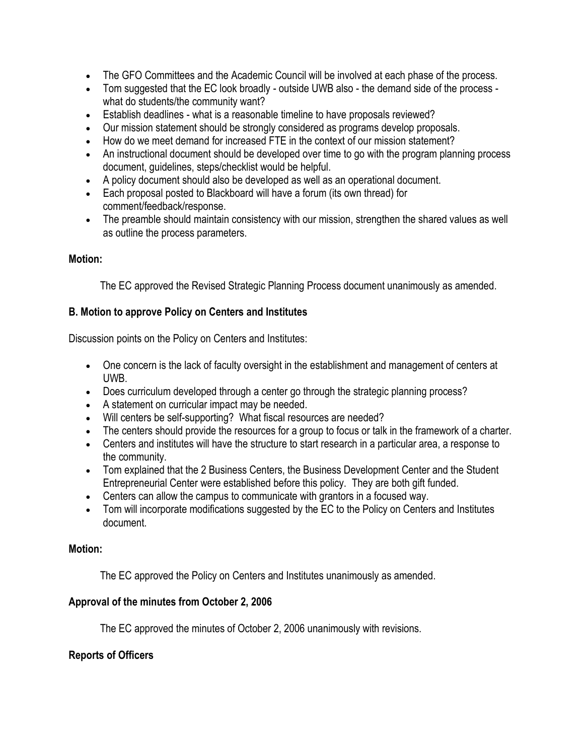- The GFO Committees and the Academic Council will be involved at each phase of the process.
- Tom suggested that the EC look broadly outside UWB also the demand side of the process what do students/the community want?
- Establish deadlines what is a reasonable timeline to have proposals reviewed?
- Our mission statement should be strongly considered as programs develop proposals.
- How do we meet demand for increased FTE in the context of our mission statement?
- An instructional document should be developed over time to go with the program planning process document, guidelines, steps/checklist would be helpful.
- A policy document should also be developed as well as an operational document.
- Each proposal posted to Blackboard will have a forum (its own thread) for comment/feedback/response.
- The preamble should maintain consistency with our mission, strengthen the shared values as well as outline the process parameters.

## **Motion:**

The EC approved the Revised Strategic Planning Process document unanimously as amended.

## **B. Motion to approve Policy on Centers and Institutes**

Discussion points on the Policy on Centers and Institutes:

- One concern is the lack of faculty oversight in the establishment and management of centers at UWB.
- Does curriculum developed through a center go through the strategic planning process?
- A statement on curricular impact may be needed.
- Will centers be self-supporting? What fiscal resources are needed?
- The centers should provide the resources for a group to focus or talk in the framework of a charter.
- Centers and institutes will have the structure to start research in a particular area, a response to the community.
- Tom explained that the 2 Business Centers, the Business Development Center and the Student Entrepreneurial Center were established before this policy. They are both gift funded.
- Centers can allow the campus to communicate with grantors in a focused way.
- Tom will incorporate modifications suggested by the EC to the Policy on Centers and Institutes document.

## **Motion:**

The EC approved the Policy on Centers and Institutes unanimously as amended.

# **Approval of the minutes from October 2, 2006**

The EC approved the minutes of October 2, 2006 unanimously with revisions.

# **Reports of Officers**